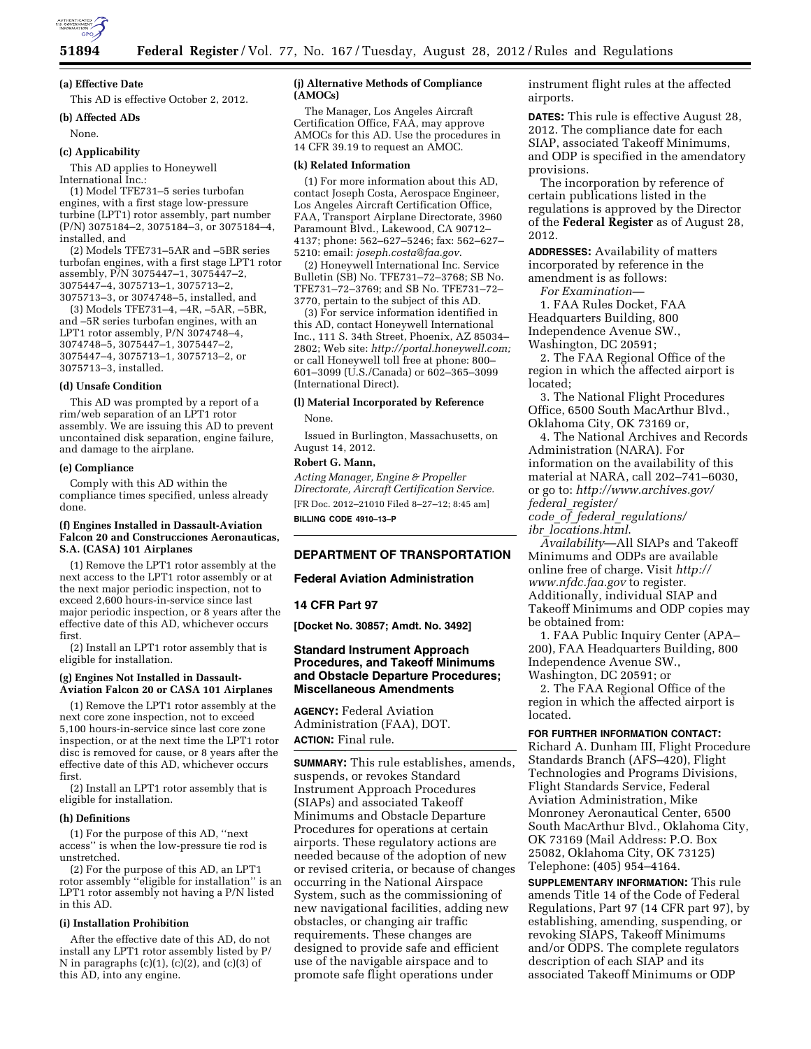

#### **(a) Effective Date**

This AD is effective October 2, 2012.

# **(b) Affected ADs**

None.

#### **(c) Applicability**

This AD applies to Honeywell

International Inc.: (1) Model TFE731–5 series turbofan

engines, with a first stage low-pressure turbine (LPT1) rotor assembly, part number (P/N) 3075184–2, 3075184–3, or 3075184–4, installed, and

(2) Models TFE731–5AR and –5BR series turbofan engines, with a first stage LPT1 rotor assembly, P/N 3075447–1, 3075447–2, 3075447–4, 3075713–1, 3075713–2, 3075713–3, or 3074748–5, installed, and

(3) Models TFE731–4, –4R, –5AR, –5BR, and –5R series turbofan engines, with an LPT1 rotor assembly, P/N 3074748-4, 3074748–5, 3075447–1, 3075447–2, 3075447–4, 3075713–1, 3075713–2, or 3075713–3, installed.

#### **(d) Unsafe Condition**

This AD was prompted by a report of a rim/web separation of an LPT1 rotor assembly. We are issuing this AD to prevent uncontained disk separation, engine failure, and damage to the airplane.

#### **(e) Compliance**

Comply with this AD within the compliance times specified, unless already done.

#### **(f) Engines Installed in Dassault-Aviation Falcon 20 and Construcciones Aeronauticas, S.A. (CASA) 101 Airplanes**

(1) Remove the LPT1 rotor assembly at the next access to the LPT1 rotor assembly or at the next major periodic inspection, not to exceed 2,600 hours-in-service since last major periodic inspection, or 8 years after the effective date of this AD, whichever occurs first.

(2) Install an LPT1 rotor assembly that is eligible for installation.

#### **(g) Engines Not Installed in Dassault-Aviation Falcon 20 or CASA 101 Airplanes**

(1) Remove the LPT1 rotor assembly at the next core zone inspection, not to exceed 5,100 hours-in-service since last core zone inspection, or at the next time the LPT1 rotor disc is removed for cause, or 8 years after the effective date of this AD, whichever occurs first.

(2) Install an LPT1 rotor assembly that is eligible for installation.

#### **(h) Definitions**

(1) For the purpose of this AD, ''next access'' is when the low-pressure tie rod is unstretched.

(2) For the purpose of this AD, an LPT1 rotor assembly "eligible for installation" is an LPT1 rotor assembly not having a P/N listed in this AD.

# **(i) Installation Prohibition**

After the effective date of this AD, do not install any LPT1 rotor assembly listed by P/ N in paragraphs  $(c)(1)$ ,  $(c)(2)$ , and  $(c)(3)$  of this AD, into any engine.

## **(j) Alternative Methods of Compliance (AMOCs)**

The Manager, Los Angeles Aircraft Certification Office, FAA, may approve AMOCs for this AD. Use the procedures in 14 CFR 39.19 to request an AMOC.

### **(k) Related Information**

(1) For more information about this AD, contact Joseph Costa, Aerospace Engineer, Los Angeles Aircraft Certification Office, FAA, Transport Airplane Directorate, 3960 Paramount Blvd., Lakewood, CA 90712– 4137; phone: 562–627–5246; fax: 562–627– 5210: email: *[joseph.costa@faa.gov](mailto:joseph.costa@faa.gov)*.

(2) Honeywell International Inc. Service Bulletin (SB) No. TFE731–72–3768; SB No. TFE731–72–3769; and SB No. TFE731–72– 3770, pertain to the subject of this AD.

(3) For service information identified in this AD, contact Honeywell International Inc., 111 S. 34th Street, Phoenix, AZ 85034– 2802; Web site: *[http://portal.honeywell.com;](http://portal.honeywell.com)*  or call Honeywell toll free at phone: 800– 601–3099 (U.S./Canada) or 602–365–3099 (International Direct).

# **(l) Material Incorporated by Reference**

None.

Issued in Burlington, Massachusetts, on August 14, 2012.

# **Robert G. Mann,**

*Acting Manager, Engine & Propeller Directorate, Aircraft Certification Service.*  [FR Doc. 2012–21010 Filed 8–27–12; 8:45 am] **BILLING CODE 4910–13–P** 

### **DEPARTMENT OF TRANSPORTATION**

#### **Federal Aviation Administration**

# **14 CFR Part 97**

**[Docket No. 30857; Amdt. No. 3492]** 

# **Standard Instrument Approach Procedures, and Takeoff Minimums and Obstacle Departure Procedures; Miscellaneous Amendments**

**AGENCY:** Federal Aviation Administration (FAA), DOT. **ACTION:** Final rule.

**SUMMARY:** This rule establishes, amends, suspends, or revokes Standard Instrument Approach Procedures (SIAPs) and associated Takeoff Minimums and Obstacle Departure Procedures for operations at certain airports. These regulatory actions are needed because of the adoption of new or revised criteria, or because of changes occurring in the National Airspace System, such as the commissioning of new navigational facilities, adding new obstacles, or changing air traffic requirements. These changes are designed to provide safe and efficient use of the navigable airspace and to promote safe flight operations under

instrument flight rules at the affected airports.

**DATES:** This rule is effective August 28, 2012. The compliance date for each SIAP, associated Takeoff Minimums, and ODP is specified in the amendatory provisions.

The incorporation by reference of certain publications listed in the regulations is approved by the Director of the **Federal Register** as of August 28, 2012.

**ADDRESSES:** Availability of matters incorporated by reference in the amendment is as follows: *For Examination—* 

1. FAA Rules Docket, FAA Headquarters Building, 800 Independence Avenue SW., Washington, DC 20591;

2. The FAA Regional Office of the region in which the affected airport is located;

3. The National Flight Procedures Office, 6500 South MacArthur Blvd., Oklahoma City, OK 73169 or,

4. The National Archives and Records Administration (NARA). For information on the availability of this material at NARA, call 202–741–6030, or go to: *[http://www.archives.gov/](http://www.archives.gov/federal_register/code_of_federal_regulations/ibr_locations.html) federal*\_*[register/](http://www.archives.gov/federal_register/code_of_federal_regulations/ibr_locations.html)* 

*code*\_*of*\_*federal*\_*[regulations/](http://www.archives.gov/federal_register/code_of_federal_regulations/ibr_locations.html)  ibr*\_*[locations.html](http://www.archives.gov/federal_register/code_of_federal_regulations/ibr_locations.html)*.

*Availability*—All SIAPs and Takeoff Minimums and ODPs are available online free of charge. Visit *[http://](http://www.nfdc.faa.gov)  [www.nfdc.faa.gov](http://www.nfdc.faa.gov)* to register. Additionally, individual SIAP and Takeoff Minimums and ODP copies may be obtained from:

1. FAA Public Inquiry Center (APA– 200), FAA Headquarters Building, 800 Independence Avenue SW., Washington, DC 20591; or

2. The FAA Regional Office of the region in which the affected airport is located.

# **FOR FURTHER INFORMATION CONTACT:**

Richard A. Dunham III, Flight Procedure Standards Branch (AFS–420), Flight Technologies and Programs Divisions, Flight Standards Service, Federal Aviation Administration, Mike Monroney Aeronautical Center, 6500 South MacArthur Blvd., Oklahoma City, OK 73169 (Mail Address: P.O. Box 25082, Oklahoma City, OK 73125) Telephone: (405) 954–4164.

**SUPPLEMENTARY INFORMATION:** This rule amends Title 14 of the Code of Federal Regulations, Part 97 (14 CFR part 97), by establishing, amending, suspending, or revoking SIAPS, Takeoff Minimums and/or ODPS. The complete regulators description of each SIAP and its associated Takeoff Minimums or ODP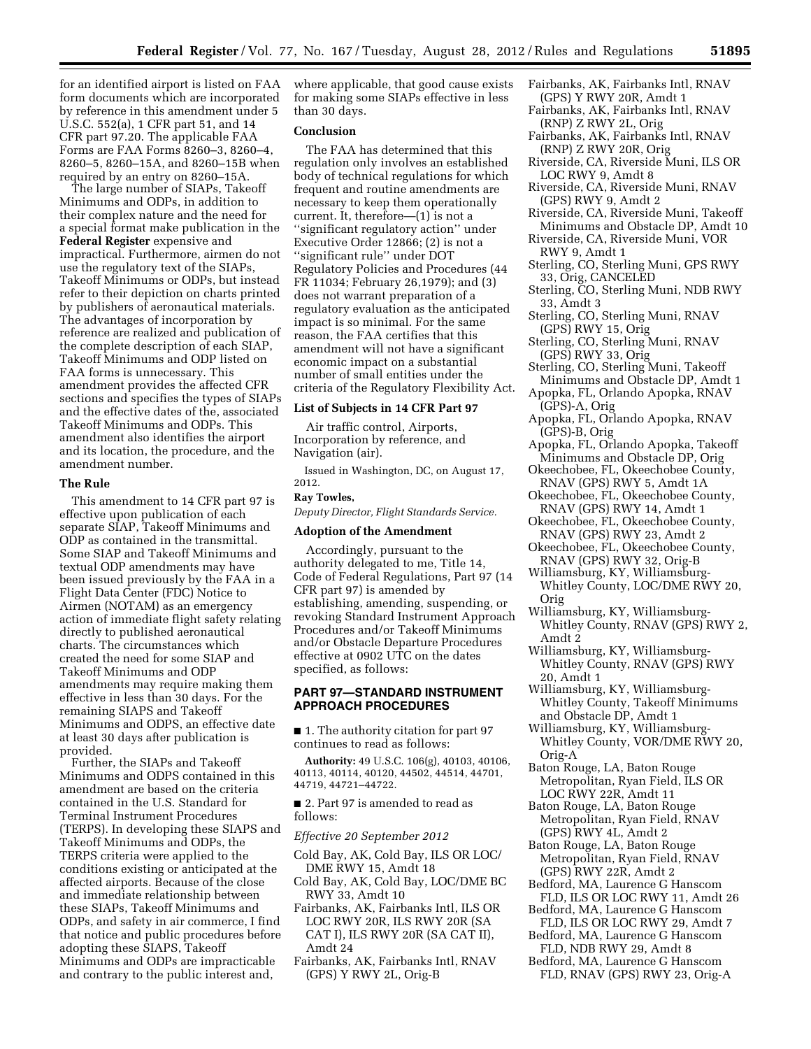for an identified airport is listed on FAA form documents which are incorporated by reference in this amendment under 5 U.S.C. 552(a), 1 CFR part 51, and 14 CFR part 97.20. The applicable FAA Forms are FAA Forms 8260–3, 8260–4, 8260–5, 8260–15A, and 8260–15B when required by an entry on 8260–15A.

The large number of SIAPs, Takeoff Minimums and ODPs, in addition to their complex nature and the need for a special format make publication in the **Federal Register** expensive and impractical. Furthermore, airmen do not use the regulatory text of the SIAPs, Takeoff Minimums or ODPs, but instead refer to their depiction on charts printed by publishers of aeronautical materials. The advantages of incorporation by reference are realized and publication of the complete description of each SIAP, Takeoff Minimums and ODP listed on FAA forms is unnecessary. This amendment provides the affected CFR sections and specifies the types of SIAPs and the effective dates of the, associated Takeoff Minimums and ODPs. This amendment also identifies the airport and its location, the procedure, and the amendment number.

### **The Rule**

This amendment to 14 CFR part 97 is effective upon publication of each separate SIAP, Takeoff Minimums and ODP as contained in the transmittal. Some SIAP and Takeoff Minimums and textual ODP amendments may have been issued previously by the FAA in a Flight Data Center (FDC) Notice to Airmen (NOTAM) as an emergency action of immediate flight safety relating directly to published aeronautical charts. The circumstances which created the need for some SIAP and Takeoff Minimums and ODP amendments may require making them effective in less than 30 days. For the remaining SIAPS and Takeoff Minimums and ODPS, an effective date at least 30 days after publication is provided.

Further, the SIAPs and Takeoff Minimums and ODPS contained in this amendment are based on the criteria contained in the U.S. Standard for Terminal Instrument Procedures (TERPS). In developing these SIAPS and Takeoff Minimums and ODPs, the TERPS criteria were applied to the conditions existing or anticipated at the affected airports. Because of the close and immediate relationship between these SIAPs, Takeoff Minimums and ODPs, and safety in air commerce, I find that notice and public procedures before adopting these SIAPS, Takeoff Minimums and ODPs are impracticable and contrary to the public interest and,

where applicable, that good cause exists for making some SIAPs effective in less than 30 days.

# **Conclusion**

The FAA has determined that this regulation only involves an established body of technical regulations for which frequent and routine amendments are necessary to keep them operationally current. It, therefore—(1) is not a ''significant regulatory action'' under Executive Order 12866; (2) is not a ''significant rule'' under DOT Regulatory Policies and Procedures (44 FR 11034; February 26,1979); and (3) does not warrant preparation of a regulatory evaluation as the anticipated impact is so minimal. For the same reason, the FAA certifies that this amendment will not have a significant economic impact on a substantial number of small entities under the criteria of the Regulatory Flexibility Act.

# **List of Subjects in 14 CFR Part 97**

Air traffic control, Airports, Incorporation by reference, and Navigation (air).

Issued in Washington, DC, on August 17, 2012.

# **Ray Towles,**

*Deputy Director, Flight Standards Service.* 

# **Adoption of the Amendment**

Accordingly, pursuant to the authority delegated to me, Title 14, Code of Federal Regulations, Part 97 (14 CFR part 97) is amended by establishing, amending, suspending, or revoking Standard Instrument Approach Procedures and/or Takeoff Minimums and/or Obstacle Departure Procedures effective at 0902 UTC on the dates specified, as follows:

# **PART 97—STANDARD INSTRUMENT APPROACH PROCEDURES**

■ 1. The authority citation for part 97 continues to read as follows:

**Authority:** 49 U.S.C. 106(g), 40103, 40106, 40113, 40114, 40120, 44502, 44514, 44701, 44719, 44721–44722.

■ 2. Part 97 is amended to read as follows:

### *Effective 20 September 2012*

- Cold Bay, AK, Cold Bay, ILS OR LOC/ DME RWY 15, Amdt 18
- Cold Bay, AK, Cold Bay, LOC/DME BC RWY 33, Amdt 10
- Fairbanks, AK, Fairbanks Intl, ILS OR LOC RWY 20R, ILS RWY 20R (SA CAT I), ILS RWY 20R (SA CAT II), Amdt 24
- Fairbanks, AK, Fairbanks Intl, RNAV (GPS) Y RWY 2L, Orig-B
- Fairbanks, AK, Fairbanks Intl, RNAV (GPS) Y RWY 20R, Amdt 1
- Fairbanks, AK, Fairbanks Intl, RNAV (RNP) Z RWY 2L, Orig
- Fairbanks, AK, Fairbanks Intl, RNAV (RNP) Z RWY 20R, Orig
- Riverside, CA, Riverside Muni, ILS OR LOC RWY 9, Amdt 8
- Riverside, CA, Riverside Muni, RNAV (GPS) RWY 9, Amdt 2
- Riverside, CA, Riverside Muni, Takeoff Minimums and Obstacle DP, Amdt 10 Riverside, CA, Riverside Muni, VOR
- RWY 9, Amdt 1
- Sterling, CO, Sterling Muni, GPS RWY 33, Orig, CANCELED
- Sterling, CO, Sterling Muni, NDB RWY 33, Amdt 3
- Sterling, CO, Sterling Muni, RNAV (GPS) RWY 15, Orig
- Sterling, CO, Sterling Muni, RNAV (GPS) RWY 33, Orig
- Sterling, CO, Sterling Muni, Takeoff Minimums and Obstacle DP, Amdt 1
- Apopka, FL, Orlando Apopka, RNAV (GPS)-A, Orig
- Apopka, FL, Orlando Apopka, RNAV (GPS)-B, Orig
- Apopka, FL, Orlando Apopka, Takeoff Minimums and Obstacle DP, Orig
- Okeechobee, FL, Okeechobee County, RNAV (GPS) RWY 5, Amdt 1A
- Okeechobee, FL, Okeechobee County, RNAV (GPS) RWY 14, Amdt 1
- Okeechobee, FL, Okeechobee County, RNAV (GPS) RWY 23, Amdt 2
- Okeechobee, FL, Okeechobee County, RNAV (GPS) RWY 32, Orig-B
- Williamsburg, KY, Williamsburg-Whitley County, LOC/DME RWY 20, Orig
- Williamsburg, KY, Williamsburg-Whitley County, RNAV (GPS) RWY 2, Amdt 2
- Williamsburg, KY, Williamsburg-Whitley County, RNAV (GPS) RWY 20, Amdt 1
- Williamsburg, KY, Williamsburg-Whitley County, Takeoff Minimums and Obstacle DP, Amdt 1
- Williamsburg, KY, Williamsburg-Whitley County, VOR/DME RWY 20, Orig-A
- Baton Rouge, LA, Baton Rouge Metropolitan, Ryan Field, ILS OR LOC RWY 22R, Amdt 11
- Baton Rouge, LA, Baton Rouge Metropolitan, Ryan Field, RNAV (GPS) RWY 4L, Amdt 2
- Baton Rouge, LA, Baton Rouge Metropolitan, Ryan Field, RNAV (GPS) RWY 22R, Amdt 2
- Bedford, MA, Laurence G Hanscom FLD, ILS OR LOC RWY 11, Amdt 26
- Bedford, MA, Laurence G Hanscom FLD, ILS OR LOC RWY 29, Amdt 7
- Bedford, MA, Laurence G Hanscom FLD, NDB RWY 29, Amdt 8
- Bedford, MA, Laurence G Hanscom FLD, RNAV (GPS) RWY 23, Orig-A